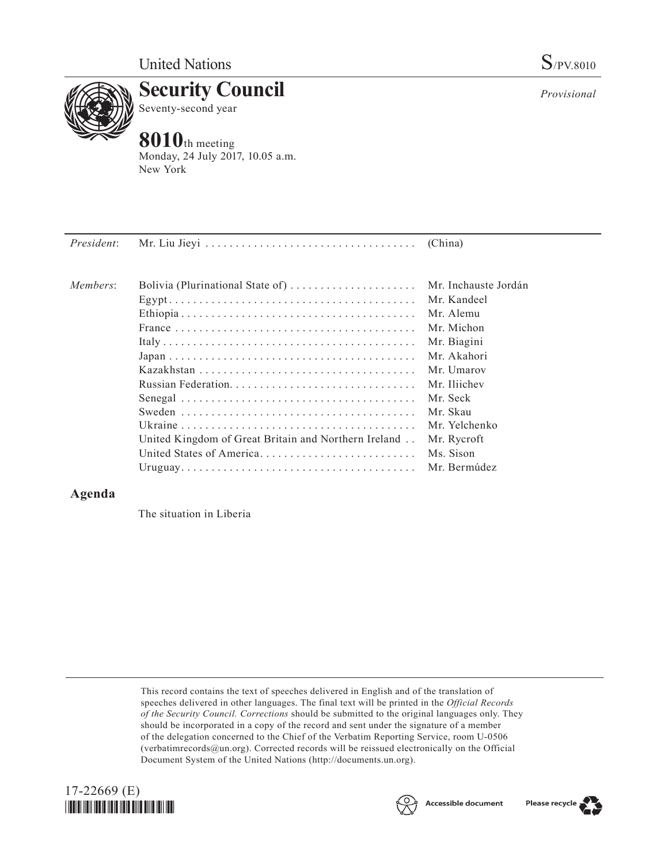

**Security Council** Seventy-second year

## **8010**th meeting

Monday, 24 July 2017, 10.05 a.m. New York

| <i>President:</i> |                                                      |                      |
|-------------------|------------------------------------------------------|----------------------|
| Members:          | Bolivia (Plurinational State of)                     | Mr. Inchauste Jordán |
|                   |                                                      | Mr. Kandeel          |
|                   |                                                      | Mr. Alemu            |
|                   |                                                      | Mr. Michon           |
|                   |                                                      | Mr. Biagini          |
|                   |                                                      | Mr. Akahori          |
|                   |                                                      | Mr. Umarov           |
|                   |                                                      | Mr. Iliichev         |
|                   |                                                      | Mr. Seck             |
|                   |                                                      | Mr. Skau             |
|                   |                                                      | Mr. Yelchenko        |
|                   | United Kingdom of Great Britain and Northern Ireland | Mr. Rycroft          |
|                   | United States of America                             | Ms. Sison            |
|                   |                                                      | Mr. Bermúdez         |

## **Agenda**

The situation in Liberia

This record contains the text of speeches delivered in English and of the translation of speeches delivered in other languages. The final text will be printed in the *Official Records of the Security Council. Corrections* should be submitted to the original languages only. They should be incorporated in a copy of the record and sent under the signature of a member of the delegation concerned to the Chief of the Verbatim Reporting Service, room U-0506 (verbatimrecords $@un.org$ ). Corrected records will be reissued electronically on the Official Document System of the United Nations [\(http://documents.un.org\)](http://documents.un.org).